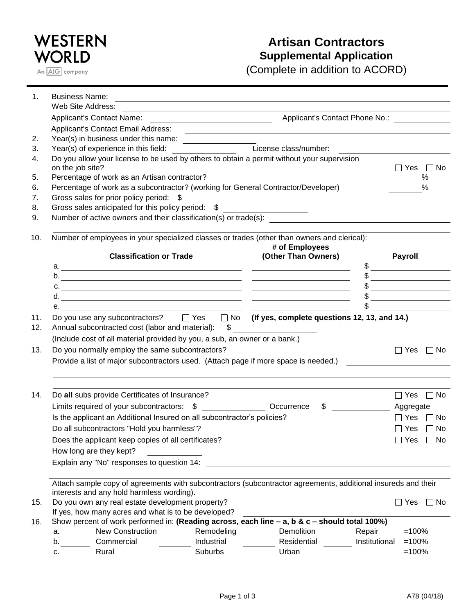

## **Artisan Contractors Supplemental Application**

(Complete in addition to ACORD)

| 1.  | <b>Business Name:</b>                                                                                         |            | <u> 1989 - Johann Stoff, amerikansk politiker (d. 1989)</u>                                                            |                                                                                                                                                                                                                                                                                                                                                                     |  |  |  |
|-----|---------------------------------------------------------------------------------------------------------------|------------|------------------------------------------------------------------------------------------------------------------------|---------------------------------------------------------------------------------------------------------------------------------------------------------------------------------------------------------------------------------------------------------------------------------------------------------------------------------------------------------------------|--|--|--|
|     | Web Site Address:                                                                                             |            |                                                                                                                        |                                                                                                                                                                                                                                                                                                                                                                     |  |  |  |
|     |                                                                                                               |            |                                                                                                                        |                                                                                                                                                                                                                                                                                                                                                                     |  |  |  |
|     | Applicant's Contact Email Address:                                                                            |            | <u> 1989 - Johann Stoff, deutscher Stoffen und der Stoffen und der Stoffen und der Stoffen und der Stoffen und der</u> |                                                                                                                                                                                                                                                                                                                                                                     |  |  |  |
| 2.  |                                                                                                               |            |                                                                                                                        |                                                                                                                                                                                                                                                                                                                                                                     |  |  |  |
| 3.  |                                                                                                               |            | License class/number:                                                                                                  |                                                                                                                                                                                                                                                                                                                                                                     |  |  |  |
| 4.  | Do you allow your license to be used by others to obtain a permit without your supervision                    |            |                                                                                                                        |                                                                                                                                                                                                                                                                                                                                                                     |  |  |  |
|     | on the job site?                                                                                              |            |                                                                                                                        | $\Box$ Yes $\Box$ No                                                                                                                                                                                                                                                                                                                                                |  |  |  |
| 5.  | Percentage of work as an Artisan contractor?                                                                  |            |                                                                                                                        | %                                                                                                                                                                                                                                                                                                                                                                   |  |  |  |
| 6.  | Percentage of work as a subcontractor? (working for General Contractor/Developer)                             |            |                                                                                                                        | $\frac{0}{0}$                                                                                                                                                                                                                                                                                                                                                       |  |  |  |
| 7.  | Gross sales for prior policy period: \$                                                                       |            |                                                                                                                        |                                                                                                                                                                                                                                                                                                                                                                     |  |  |  |
| 8.  | Gross sales anticipated for this policy period: \$                                                            |            |                                                                                                                        |                                                                                                                                                                                                                                                                                                                                                                     |  |  |  |
| 9.  | Number of active owners and their classification(s) or trade(s):                                              |            |                                                                                                                        |                                                                                                                                                                                                                                                                                                                                                                     |  |  |  |
|     |                                                                                                               |            |                                                                                                                        |                                                                                                                                                                                                                                                                                                                                                                     |  |  |  |
| 10. | Number of employees in your specialized classes or trades (other than owners and clerical):                   |            |                                                                                                                        |                                                                                                                                                                                                                                                                                                                                                                     |  |  |  |
|     |                                                                                                               |            | # of Employees                                                                                                         |                                                                                                                                                                                                                                                                                                                                                                     |  |  |  |
|     | <b>Classification or Trade</b>                                                                                |            | (Other Than Owners)                                                                                                    | <b>Payroll</b>                                                                                                                                                                                                                                                                                                                                                      |  |  |  |
|     |                                                                                                               |            |                                                                                                                        |                                                                                                                                                                                                                                                                                                                                                                     |  |  |  |
|     |                                                                                                               |            |                                                                                                                        | $\begin{picture}(20,10) \put(0,0){\vector(1,0){100}} \put(15,0){\vector(1,0){100}} \put(15,0){\vector(1,0){100}} \put(15,0){\vector(1,0){100}} \put(15,0){\vector(1,0){100}} \put(15,0){\vector(1,0){100}} \put(15,0){\vector(1,0){100}} \put(15,0){\vector(1,0){100}} \put(15,0){\vector(1,0){100}} \put(15,0){\vector(1,0){100}} \put(15,0){\vector(1,0){100}} \$ |  |  |  |
|     | c.                                                                                                            |            |                                                                                                                        | $\frac{1}{2}$                                                                                                                                                                                                                                                                                                                                                       |  |  |  |
|     |                                                                                                               |            |                                                                                                                        | <u> 1989 - Johann Barbara, martxa alemani</u> ar arte                                                                                                                                                                                                                                                                                                               |  |  |  |
|     | е.<br><u> 1989 - Andrea Branden, amerikansk politik (d. 1989)</u>                                             |            |                                                                                                                        |                                                                                                                                                                                                                                                                                                                                                                     |  |  |  |
| 11. | Do you use any subcontractors?<br>□ Yes □ No (If yes, complete questions 12, 13, and 14.)                     |            |                                                                                                                        |                                                                                                                                                                                                                                                                                                                                                                     |  |  |  |
| 12. | Annual subcontracted cost (labor and material):                                                               |            |                                                                                                                        |                                                                                                                                                                                                                                                                                                                                                                     |  |  |  |
|     | (Include cost of all material provided by you, a sub, an owner or a bank.)                                    |            |                                                                                                                        |                                                                                                                                                                                                                                                                                                                                                                     |  |  |  |
| 13. | Do you normally employ the same subcontractors?                                                               |            |                                                                                                                        | $\Box$ Yes $\Box$ No                                                                                                                                                                                                                                                                                                                                                |  |  |  |
|     | Provide a list of major subcontractors used. (Attach page if more space is needed.)                           |            |                                                                                                                        |                                                                                                                                                                                                                                                                                                                                                                     |  |  |  |
|     |                                                                                                               |            |                                                                                                                        |                                                                                                                                                                                                                                                                                                                                                                     |  |  |  |
|     |                                                                                                               |            |                                                                                                                        |                                                                                                                                                                                                                                                                                                                                                                     |  |  |  |
| 14. | Do all subs provide Certificates of Insurance?                                                                |            |                                                                                                                        | $\Box$ Yes $\Box$ No                                                                                                                                                                                                                                                                                                                                                |  |  |  |
|     |                                                                                                               |            | \$                                                                                                                     | Aggregate                                                                                                                                                                                                                                                                                                                                                           |  |  |  |
|     | Is the applicant an Additional Insured on all subcontractor's policies?                                       |            |                                                                                                                        | $\Box$ Yes $\Box$ No                                                                                                                                                                                                                                                                                                                                                |  |  |  |
|     | Do all subcontractors "Hold you harmless"?                                                                    |            |                                                                                                                        | $\Box$ Yes $\Box$ No                                                                                                                                                                                                                                                                                                                                                |  |  |  |
|     | Does the applicant keep copies of all certificates?                                                           |            |                                                                                                                        | $\Box$ Yes $\Box$ No                                                                                                                                                                                                                                                                                                                                                |  |  |  |
|     | How long are they kept?                                                                                       |            |                                                                                                                        |                                                                                                                                                                                                                                                                                                                                                                     |  |  |  |
|     |                                                                                                               |            |                                                                                                                        |                                                                                                                                                                                                                                                                                                                                                                     |  |  |  |
|     | Explain any "No" responses to question 14:                                                                    |            |                                                                                                                        |                                                                                                                                                                                                                                                                                                                                                                     |  |  |  |
|     | Attach sample copy of agreements with subcontractors (subcontractor agreements, additional insureds and their |            |                                                                                                                        |                                                                                                                                                                                                                                                                                                                                                                     |  |  |  |
|     | interests and any hold harmless wording).                                                                     |            |                                                                                                                        |                                                                                                                                                                                                                                                                                                                                                                     |  |  |  |
| 15. | Do you own any real estate development property?                                                              |            |                                                                                                                        | $\Box$ Yes $\Box$ No                                                                                                                                                                                                                                                                                                                                                |  |  |  |
|     | If yes, how many acres and what is to be developed?                                                           |            |                                                                                                                        |                                                                                                                                                                                                                                                                                                                                                                     |  |  |  |
| 16. | Show percent of work performed in: (Reading across, each line $-$ a, b & c $-$ should total 100%)             |            |                                                                                                                        |                                                                                                                                                                                                                                                                                                                                                                     |  |  |  |
|     | a. Mew Construction Memodeling Memodeling Demolition                                                          |            |                                                                                                                        | Repair<br>$=100%$                                                                                                                                                                                                                                                                                                                                                   |  |  |  |
|     | b. Commercial                                                                                                 | Industrial | Residential                                                                                                            | Institutional<br>$=100%$                                                                                                                                                                                                                                                                                                                                            |  |  |  |
|     | Rural<br>C.                                                                                                   | Suburbs    | Urban                                                                                                                  | $=100%$                                                                                                                                                                                                                                                                                                                                                             |  |  |  |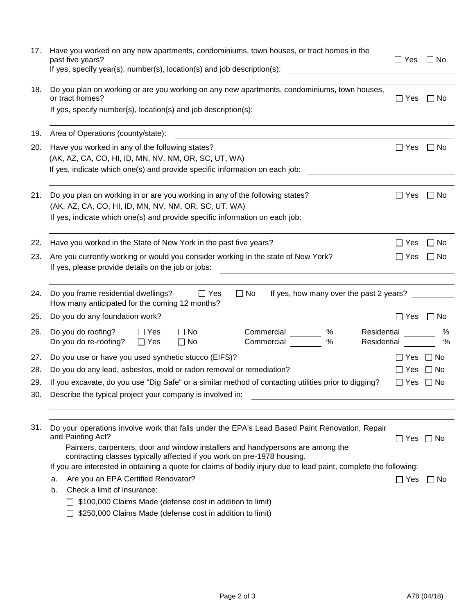| 17.        | Have you worked on any new apartments, condominiums, town houses, or tract homes in the<br>past five years?<br>If yes, specify year(s), number(s), location(s) and job description(s):                                                                                                                                        | $\Box$ Yes           | l I No             |  |  |  |  |
|------------|-------------------------------------------------------------------------------------------------------------------------------------------------------------------------------------------------------------------------------------------------------------------------------------------------------------------------------|----------------------|--------------------|--|--|--|--|
| 18.        | Do you plan on working or are you working on any new apartments, condominiums, town houses,<br>or tract homes?                                                                                                                                                                                                                | $\Box$ Yes           | ∣ I No             |  |  |  |  |
| 19.        | Area of Operations (county/state):                                                                                                                                                                                                                                                                                            |                      |                    |  |  |  |  |
| 20.        | Have you worked in any of the following states?<br>(AK, AZ, CA, CO, HI, ID, MN, NV, NM, OR, SC, UT, WA)<br>If yes, indicate which one(s) and provide specific information on each job:                                                                                                                                        |                      |                    |  |  |  |  |
| 21.        | Do you plan on working in or are you working in any of the following states?<br>(AK, AZ, CA, CO, HI, ID, MN, NV, NM, OR, SC, UT, WA)<br>If yes, indicate which one(s) and provide specific information on each job:                                                                                                           | $\Box$ Yes           | $\Box$ No          |  |  |  |  |
| 22.        | Have you worked in the State of New York in the past five years?                                                                                                                                                                                                                                                              | l I Yes              | ⊟ No               |  |  |  |  |
| 23.        | Are you currently working or would you consider working in the state of New York?<br>If yes, please provide details on the job or jobs:                                                                                                                                                                                       |                      |                    |  |  |  |  |
| 24.        | Do you frame residential dwellings?<br>$\Box$ Yes<br>$\Box$ No<br>If yes, how many over the past 2 years?<br>How many anticipated for the coming 12 months?                                                                                                                                                                   |                      |                    |  |  |  |  |
| 25.        | Do you do any foundation work?                                                                                                                                                                                                                                                                                                | $\Box$ Yes $\Box$ No |                    |  |  |  |  |
| 26.        | Do you do roofing?<br>$\square$ No<br>Commercial<br>%<br>Residential<br>$\Box$ Yes<br>$\%$<br>Do you do re-roofing?<br>Commercial<br>Residential<br>$\Box$ No<br>$\Box$ Yes                                                                                                                                                   |                      | ℅<br>$\frac{0}{0}$ |  |  |  |  |
| 27.        | Do you use or have you used synthetic stucco (EIFS)?                                                                                                                                                                                                                                                                          | ∐ Yes                | $\Box$ No          |  |  |  |  |
| 28.        | Do you do any lead, asbestos, mold or radon removal or remediation?                                                                                                                                                                                                                                                           | Yes                  | $\Box$ No          |  |  |  |  |
| 29.<br>30. | If you excavate, do you use "Dig Safe" or a similar method of contacting utilities prior to digging?<br>Describe the typical project your company is involved in:                                                                                                                                                             | $\Box$ Yes $\Box$ No |                    |  |  |  |  |
|            |                                                                                                                                                                                                                                                                                                                               |                      |                    |  |  |  |  |
| 31.        | Do your operations involve work that falls under the EPA's Lead Based Paint Renovation, Repair<br>and Painting Act?<br>Painters, carpenters, door and window installers and handypersons are among the<br>contracting classes typically affected if you work on pre-1978 housing.                                             | $\Box$ Yes $\Box$ No |                    |  |  |  |  |
|            | If you are interested in obtaining a quote for claims of bodily injury due to lead paint, complete the following:<br>Are you an EPA Certified Renovator?<br>а.<br>Check a limit of insurance:<br>b.<br>\$100,000 Claims Made (defense cost in addition to limit)<br>\$250,000 Claims Made (defense cost in addition to limit) | $\Box$ Yes           | ∐ No               |  |  |  |  |